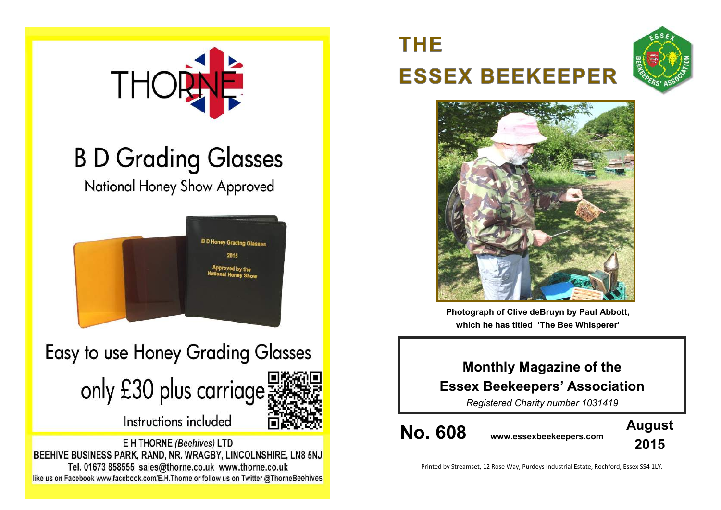

# **B D Grading Glasses**

National Honey Show Approved



Easy to use Honey Grading Glasses

only £30 plus carriage



Instructions included

E H THORNE (Beehives) LTD BEEHIVE BUSINESS PARK, RAND, NR. WRAGBY, LINCOLNSHIRE, LN8 5NJ Tel. 01673 858555 sales@thorne.co.uk www.thorne.co.uk like us on Facebook www.facebook.com/E.H.Thorne or follow us on Twitter @ThorneBeehives

# **THE ESSEX BEEKEEPER**





**Photograph of Clive deBruyn by Paul Abbott, which he has titled 'The Bee Whisperer'**

# **Monthly Magazine of the Essex Beekeepers' Association**

*Registered Charity number 1031419*

**No. 608 www.essexbeekeepers.com**



Printed by Streamset, 12 Rose Way, Purdeys Industrial Estate, Rochford, Essex SS4 1LY.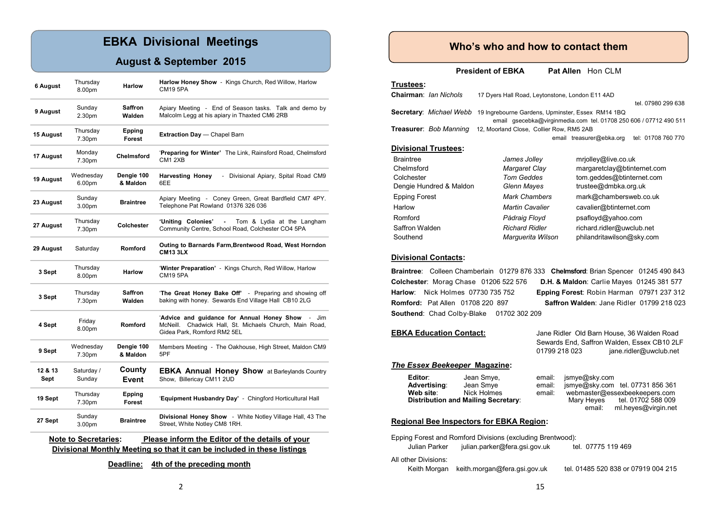# **EBKA Divisional Meetings**

## **August & September 2015**

| 6 August                                                                       | Thursday<br>8.00pm           | <b>Harlow</b>           | Harlow Honey Show - Kings Church, Red Willow, Harlow<br><b>CM19 5PA</b>                                                                        |  |  |  |
|--------------------------------------------------------------------------------|------------------------------|-------------------------|------------------------------------------------------------------------------------------------------------------------------------------------|--|--|--|
| 9 August                                                                       | Sunday<br>2.30pm             | Saffron<br>Walden       | Apiary Meeting - End of Season tasks. Talk and demo by<br>Malcolm Legg at his apiary in Thaxted CM6 2RB                                        |  |  |  |
| 15 August                                                                      | Thursday<br>7.30pm           | Epping<br><b>Forest</b> | <b>Extraction Day</b> - Chapel Barn                                                                                                            |  |  |  |
| 17 August                                                                      | Monday<br>7.30pm             | Chelmsford              | 'Preparing for Winter' The Link, Rainsford Road, Chelmsford<br>CM12XB                                                                          |  |  |  |
| 19 August                                                                      | Wednesday<br>6.00pm          | Dengie 100<br>& Maldon  | <b>Harvesting Honey</b><br>Divisional Apiary, Spital Road CM9<br>÷.<br>6EE                                                                     |  |  |  |
| 23 August                                                                      | Sunday<br>3.00pm             | <b>Braintree</b>        | Apiary Meeting - Coney Green, Great Bardfield CM7 4PY.<br>Telephone Pat Rowland 01376 326 036                                                  |  |  |  |
| 27 August                                                                      | Thursday<br>7.30pm           | Colchester              | 'Unitina Colonies'<br>Tom & Lydia at the Langham<br>Community Centre, School Road, Colchester CO4 5PA                                          |  |  |  |
| 29 August                                                                      | Saturday                     | Romford                 | Outing to Barnards Farm, Brentwood Road, West Horndon<br><b>CM13 3LX</b>                                                                       |  |  |  |
| 3 Sept                                                                         | Thursday<br>8.00pm           | <b>Harlow</b>           | 'Winter Preparation' - Kings Church, Red Willow, Harlow<br><b>CM19 5PA</b>                                                                     |  |  |  |
| 3 Sept                                                                         | Thursday<br>7.30pm           | Saffron<br>Walden       | 'The Great Honey Bake Off' - Preparing and showing off<br>baking with honey. Sewards End Village Hall CB10 2LG                                 |  |  |  |
| 4 Sept                                                                         | Friday<br>8.00pm             | Romford                 | 'Advice and guidance for Annual Honey Show<br>Jim<br>Chadwick Hall, St. Michaels Church, Main Road,<br>McNeill.<br>Gidea Park, Romford RM2 5EL |  |  |  |
| 9 Sept                                                                         | Wednesday<br>7.30pm          | Dengie 100<br>& Maldon  | Members Meeting - The Oakhouse, High Street, Maldon CM9<br>5PF                                                                                 |  |  |  |
| 12 & 13<br>Sept                                                                | Saturday /<br>Sunday         | County<br>Event         | <b>EBKA Annual Honey Show</b> at Barleylands Country<br>Show, Billericay CM11 2UD                                                              |  |  |  |
| 19 Sept                                                                        | Thursday<br>7.30pm           | Epping<br>Forest        | 'Equipment Husbandry Day' - Chingford Horticultural Hall                                                                                       |  |  |  |
| 27 Sept                                                                        | Sunday<br>3.00 <sub>pm</sub> | <b>Braintree</b>        | <b>Divisional Honey Show</b> - White Notley Village Hall, 43 The<br>Street, White Notley CM8 1RH.                                              |  |  |  |
| <b>Note to Secretaries:</b><br>Please inform the Editor of the details of your |                              |                         |                                                                                                                                                |  |  |  |

**Divisional Monthly Meeting so that it can be included in these listings**

**Deadline: 4th of the preceding month**

### **Who's who and how to contact them**

**President of EBKA** Pat Allen Hon CLM

#### **Trustees:**

| Chairman: Ian Nichols         | 17 Dyers Hall Road, Leytonstone, London E11 4AD                   |                                                |  |  |  |
|-------------------------------|-------------------------------------------------------------------|------------------------------------------------|--|--|--|
|                               |                                                                   | tel. 07980 299 638                             |  |  |  |
| Secretary: Michael Webb       | 19 Ingrebourne Gardens, Upminster, Essex RM14 1BQ                 |                                                |  |  |  |
|                               | email gsecebka@virginmedia.com tel. 01708 250 606 / 07712 490 511 |                                                |  |  |  |
| <b>Treasurer: Bob Manning</b> | 12, Moorland Close, Collier Row, RM5 2AB                          |                                                |  |  |  |
|                               |                                                                   | tel: 01708 760 770<br>email treasurer@ebka.org |  |  |  |
| <b>Divisional Trustees:</b>   |                                                                   |                                                |  |  |  |
| <b>Braintree</b>              | James Jolley                                                      | mrjolley@live.co.uk                            |  |  |  |
| Chelmsford                    | Margaret Clay                                                     | margaretclay@btinternet.com                    |  |  |  |
| Colchester                    | Tom Geddes                                                        | tom.geddes@btinternet.com                      |  |  |  |
| Dengie Hundred & Maldon       | Glenn Mayes                                                       | trustee@dmbka.org.uk                           |  |  |  |

| Dengie Hundred & Maldon | Glenn Mayes            | trustee@dmbka.org.uk      |  |
|-------------------------|------------------------|---------------------------|--|
| <b>Epping Forest</b>    | <b>Mark Chambers</b>   | mark@chambersweb.co.uk    |  |
| Harlow                  | <b>Martin Cavalier</b> | cavalier@btinternet.com   |  |
| Romford                 | Pádraig Floyd          | psafloyd@yahoo.com        |  |
| Saffron Walden          | <b>Richard Ridler</b>  | richard.ridler@uwclub.net |  |
| Southend                | Marquerita Wilson      | philandritawilson@sky.com |  |

#### **Divisional Contacts:**

**Braintree**: Colleen Chamberlain 01279 876 333 **Chelmsford**: Brian Spencer 01245 490 843 **Colchester**: Morag Chase 01206 522 576 **D.H. & Maldon**: Carlie Mayes 01245 381 577 **Harlow**: Nick Holmes 07730 735 752 **Epping Forest**: Robin Harman 07971 237 312 **Romford:** Pat Allen 01708 220 897 **Saffron Walden**: Jane Ridler 01799 218 023 **Southend**: Chad Colby-Blake 01702 302 209

**EBKA Education Contact:** Jane Ridler Old Barn House, 36 Walden Road Sewards End, Saffron Walden, Essex CB10 2LF 01799 218 023 jane.ridler@uwclub.net

#### *The Essex Beekeeper* **Magazine:**

| Editor:                                         | Jean Smye, | email:     | jsmye@sky.com                 |                                  |  |  |  |  |
|-------------------------------------------------|------------|------------|-------------------------------|----------------------------------|--|--|--|--|
| Advertising:                                    | Jean Smye  | email:     |                               | ismye@sky.com tel. 07731 856 361 |  |  |  |  |
| Nick Holmes<br>Web site:                        |            | email:     | webmaster@essexbeekeepers.com |                                  |  |  |  |  |
| <b>Distribution and Mailing Secretary:</b>      |            | Mary Heyes | tel. 01702 588 009            |                                  |  |  |  |  |
|                                                 |            |            | email:                        | ml.heves@virgin.net              |  |  |  |  |
| <b>Regional Bee Inspectors for EBKA Region:</b> |            |            |                               |                                  |  |  |  |  |
|                                                 |            |            |                               |                                  |  |  |  |  |

#### Epping Forest and Romford Divisions (excluding Brentwood): Julian Parker julian.parker@fera.gsi.gov.uk tel. 07775 119 469 All other Divisions: Keith Morgan keith.morgan@fera.gsi.gov.uk tel. 01485 520 838 or 07919 004 215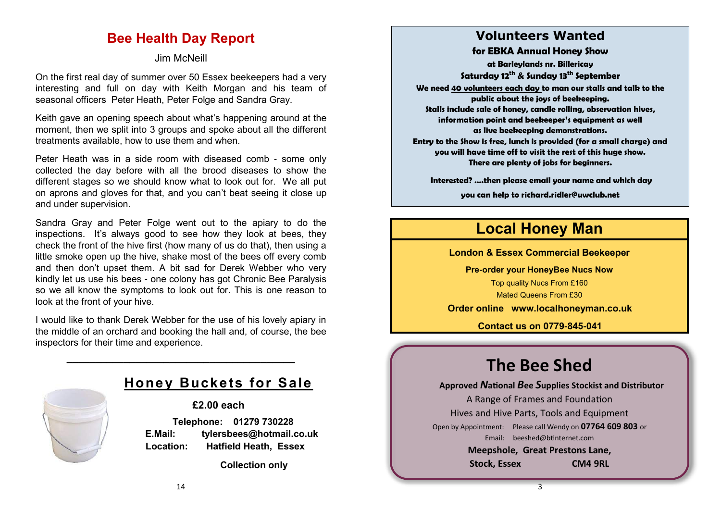# **Bee Health Day Report**

# Jim McNeill

On the first real day of summer over 50 Essex beekeepers had a very interesting and full on day with Keith Morgan and his team of seasonal officers Peter Heath, Peter Folge and Sandra Gray.

Keith gave an opening speech about what's happening around at the moment, then we split into 3 groups and spoke about all the different treatments available, how to use them and when.

Peter Heath was in a side room with diseased comb - some only collected the day before with all the brood diseases to show the different stages so we should know what to look out for. We all put on aprons and gloves for that, and you can't beat seeing it close up and under supervision.

Sandra Gray and Peter Folge went out to the apiary to do the inspections. It's always good to see how they look at bees, they check the front of the hive first (how many of us do that), then using a little smoke open up the hive, shake most of the bees off every comb and then don't upset them. A bit sad for Derek Webber who very kindly let us use his bees - one colony has got Chronic Bee Paralysis so we all know the symptoms to look out for. This is one reason to look at the front of your hive.

I would like to thank Derek Webber for the use of his lovely apiary in the middle of an orchard and booking the hall and, of course, the bee inspectors for their time and experience.

**\_\_\_\_\_\_\_\_\_\_\_\_\_\_\_\_\_\_\_\_\_\_\_\_\_\_\_\_\_\_\_\_\_\_\_\_\_\_\_\_**



# **Honey Buckets for Sale**

**£2.00 each**

 **Telephone: 01279 730228 E.Mail: tylersbees@hotmail.co.uk Location: Hatfield Heath, Essex**

 **Collection only**

# **Volunteers Wanted**

**for EBKA Annual Honey Show**

**at Barleylands nr. Billericay Saturday 12th & Sunday 13th September**

**We need 40 volunteers each day to man our stalls and talk to the public about the joys of beekeeping. Stalls include sale of honey, candle rolling, observation hives, information point and beekeeper's equipment as well**

**as live beekeeping demonstrations.**

**Entry to the Show is free, lunch is provided (for a small charge) and you will have time off to visit the rest of this huge show. There are plenty of jobs for beginners.**

**Interested? ….then please email your name and which day** 

**you can help to richard.ridler@uwclub.net**

# **Local Honey Man**

**London & Essex Commercial Beekeeper**

**Pre-order your HoneyBee Nucs Now**

Top quality Nucs From £160 Mated Queens From £30

**Order online [www.localhoneyman.co.uk](http://www.localhoneyman.co.uk)**

**Contact us on 0779-845-041**

# **The Bee Shed**

**Approved** *N***ational** *B***ee** *S***upplies Stockist and Distributor**

A Range of Frames and Foundation Hives and Hive Parts, Tools and Equipment Open by Appointment: Please call Wendy on **07764 609 803** or Email: [beeshed@btinternet.com](mailto:beeshed@btinternet.com)  **Meepshole, Great Prestons Lane, Stock, Essex CM4 9RL**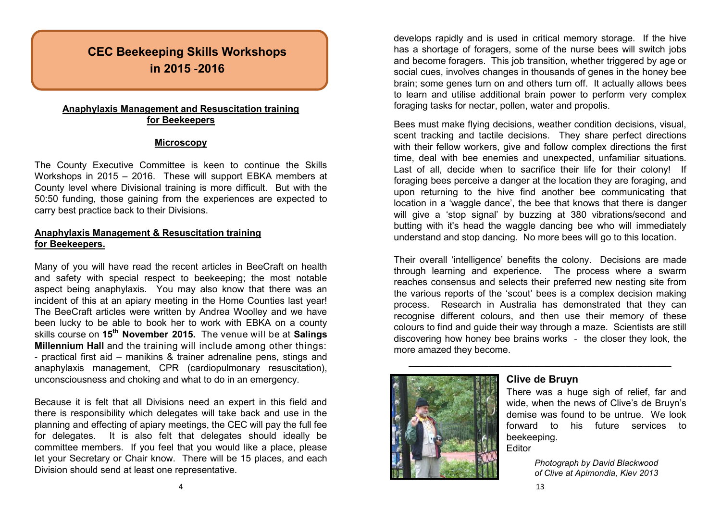# **CEC Beekeeping Skills Workshops in 2015 -2016**

### **Anaphylaxis Management and Resuscitation training for Beekeepers**

#### **Microscopy**

The County Executive Committee is keen to continue the Skills Workshops in 2015 – 2016. These will support EBKA members at County level where Divisional training is more difficult. But with the 50:50 funding, those gaining from the experiences are expected to carry best practice back to their Divisions.

### **Anaphylaxis Management & Resuscitation training for Beekeepers.**

Many of you will have read the recent articles in BeeCraft on health and safety with special respect to beekeeping; the most notable aspect being anaphylaxis. You may also know that there was an incident of this at an apiary meeting in the Home Counties last year! The BeeCraft articles were written by Andrea Woolley and we have been lucky to be able to book her to work with EBKA on a county skills course on **15th November 2015.** The venue will be at **Salings Millennium Hall** and the training will include among other things: - practical first aid – manikins & trainer adrenaline pens, stings and anaphylaxis management, CPR (cardiopulmonary resuscitation), unconsciousness and choking and what to do in an emergency.

Because it is felt that all Divisions need an expert in this field and there is responsibility which delegates will take back and use in the planning and effecting of apiary meetings, the CEC will pay the full fee for delegates. It is also felt that delegates should ideally be committee members. If you feel that you would like a place, please let your Secretary or Chair know. There will be 15 places, and each Division should send at least one representative.

4

develops rapidly and is used in critical memory storage. If the hive has a shortage of foragers, some of the nurse bees will switch jobs and become foragers. This job transition, whether triggered by age or social cues, involves changes in thousands of genes in the honey bee brain; some genes turn on and others turn off. It actually allows bees to learn and utilise additional brain power to perform very complex foraging tasks for nectar, pollen, water and propolis.

Bees must make flying decisions, weather condition decisions, visual, scent tracking and tactile decisions. They share perfect directions with their fellow workers, give and follow complex directions the first time, deal with bee enemies and unexpected, unfamiliar situations. Last of all, decide when to sacrifice their life for their colony! If foraging bees perceive a danger at the location they are foraging, and upon returning to the hive find another bee communicating that location in a 'waggle dance', the bee that knows that there is danger will give a 'stop signal' by buzzing at 380 vibrations/second and butting with it's head the waggle dancing bee who will immediately understand and stop dancing. No more bees will go to this location.

Their overall 'intelligence' benefits the colony. Decisions are made through learning and experience. The process where a swarm reaches consensus and selects their preferred new nesting site from the various reports of the 'scout' bees is a complex decision making process. Research in Australia has demonstrated that they can recognise different colours, and then use their memory of these colours to find and guide their way through a maze. Scientists are still discovering how honey bee brains works - the closer they look, the more amazed they become.



# **Clive de Bruyn**

**\_\_\_\_\_\_\_\_\_\_\_\_\_\_\_\_\_\_\_\_\_\_\_\_\_\_\_\_\_\_\_\_\_\_\_\_\_\_\_\_\_\_\_\_\_\_**

There was a huge sigh of relief, far and wide, when the news of Clive's de Bruyn's demise was found to be untrue. We look forward to his future services to beekeeping.

**Editor** 

*Photograph by David Blackwood of Clive at Apimondia, Kiev 2013*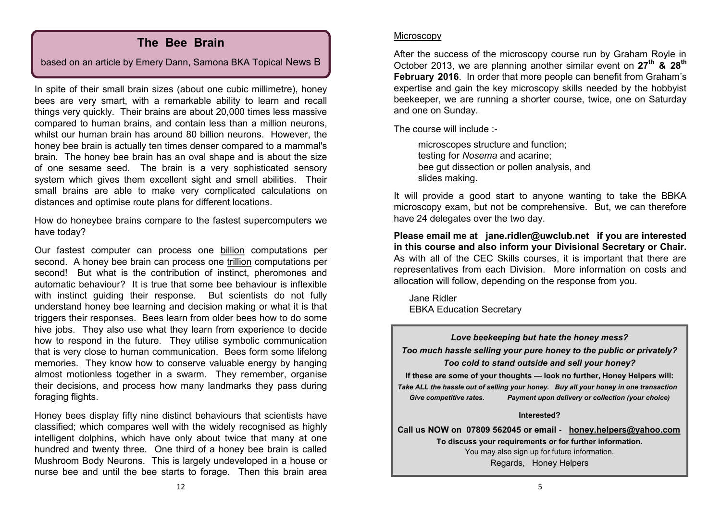# **The Bee Brain**

based on an article by Emery Dann, Samona BKA Topical News B

In spite of their small brain sizes (about one cubic millimetre), honey bees are very smart, with a remarkable ability to learn and recall things very quickly. Their brains are about 20,000 times less massive compared to human brains, and contain less than a million neurons, whilst our human brain has around 80 billion neurons. However, the honey bee brain is actually ten times denser compared to a mammal's brain. The honey bee brain has an oval shape and is about the size of one sesame seed. The brain is a very sophisticated sensory system which gives them excellent sight and smell abilities. Their small brains are able to make very complicated calculations on distances and optimise route plans for different locations.

How do honeybee brains compare to the fastest supercomputers we have today?

Our fastest computer can process one billion computations per second. A honey bee brain can process one trillion computations per second! But what is the contribution of instinct, pheromones and automatic behaviour? It is true that some bee behaviour is inflexible with instinct guiding their response. But scientists do not fully understand honey bee learning and decision making or what it is that triggers their responses. Bees learn from older bees how to do some hive jobs. They also use what they learn from experience to decide how to respond in the future. They utilise symbolic communication that is very close to human communication. Bees form some lifelong memories. They know how to conserve valuable energy by hanging almost motionless together in a swarm. They remember, organise their decisions, and process how many landmarks they pass during foraging flights.

Honey bees display fifty nine distinct behaviours that scientists have classified; which compares well with the widely recognised as highly intelligent dolphins, which have only about twice that many at one hundred and twenty three. One third of a honey bee brain is called Mushroom Body Neurons. This is largely undeveloped in a house or nurse bee and until the bee starts to forage. Then this brain area

#### **Microscopy**

After the success of the microscopy course run by Graham Royle in October 2013, we are planning another similar event on **27th & 28th February 2016**. In order that more people can benefit from Graham's expertise and gain the key microscopy skills needed by the hobbyist beekeeper, we are running a shorter course, twice, one on Saturday and one on Sunday.

The course will include :-

microscopes structure and function; testing for *Nosema* and acarine; bee gut dissection or pollen analysis, and slides making.

It will provide a good start to anyone wanting to take the BBKA microscopy exam, but not be comprehensive. But, we can therefore have 24 delegates over the two day.

**Please email me at [jane.ridler@uwclub.net](mailto:jane.ridler@uwclub.net) if you are interested in this course and also inform your Divisional Secretary or Chair.** As with all of the CEC Skills courses, it is important that there are representatives from each Division. More information on costs and allocation will follow, depending on the response from you.

Jane Ridler EBKA Education Secretary

*Love beekeeping but hate the honey mess? Too much hassle selling your pure honey to the public or privately? Too cold to stand outside and sell your honey?* **If these are some of your thoughts — look no further, Honey Helpers will:** *Take ALL the hassle out of selling your honey. Buy all your honey in one transaction Give competitive rates. Payment upon delivery or collection (your choice)* **Interested? Call us NOW on 07809 562045 or email - [honey.helpers@yahoo.com](mailto:honey.helpers@yahoo.com)**

**To discuss your requirements or for further information.** You may also sign up for future information. Regards, Honey Helpers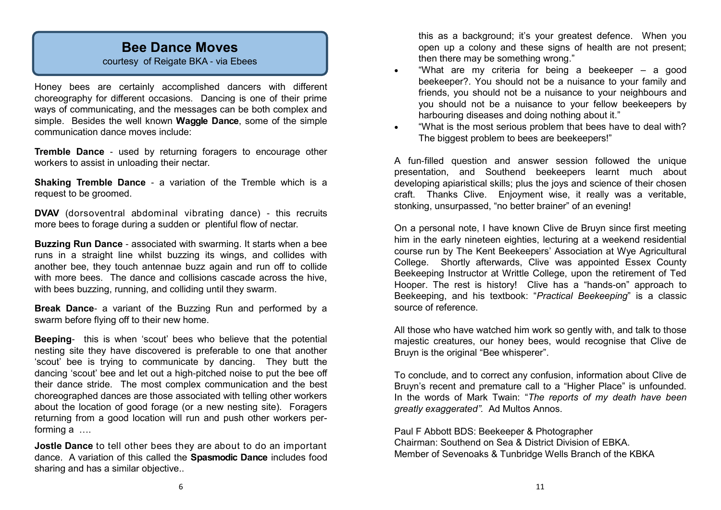# **Bee Dance Moves**

courtesy of Reigate BKA - via Ebees

Honey bees are certainly accomplished dancers with different choreography for different occasions. Dancing is one of their prime ways of communicating, and the messages can be both complex and simple. Besides the well known **Waggle Dance**, some of the simple communication dance moves include:

**Tremble Dance** - used by returning foragers to encourage other workers to assist in unloading their nectar.

**Shaking Tremble Dance** - a variation of the Tremble which is a request to be groomed.

**DVAV** (dorsoventral abdominal vibrating dance) - this recruits more bees to forage during a sudden or plentiful flow of nectar.

**Buzzing Run Dance** - associated with swarming. It starts when a bee runs in a straight line whilst buzzing its wings, and collides with another bee, they touch antennae buzz again and run off to collide with more bees. The dance and collisions cascade across the hive, with bees buzzing, running, and colliding until they swarm.

**Break Dance**- a variant of the Buzzing Run and performed by a swarm before flying off to their new home.

**Beeping**- this is when 'scout' bees who believe that the potential nesting site they have discovered is preferable to one that another 'scout' bee is trying to communicate by dancing. They butt the dancing 'scout' bee and let out a high-pitched noise to put the bee off their dance stride. The most complex communication and the best choreographed dances are those associated with telling other workers about the location of good forage (or a new nesting site). Foragers returning from a good location will run and push other workers performing a ….

**Jostle Dance** to tell other bees they are about to do an important dance. A variation of this called the **Spasmodic Dance** includes food sharing and has a similar objective..

this as a background; it's your greatest defence. When you open up a colony and these signs of health are not present; then there may be something wrong."

- "What are my criteria for being a beekeeper a good beekeeper?. You should not be a nuisance to your family and friends, you should not be a nuisance to your neighbours and you should not be a nuisance to your fellow beekeepers by harbouring diseases and doing nothing about it."
- "What is the most serious problem that bees have to deal with? The biggest problem to bees are beekeepers!"

A fun-filled question and answer session followed the unique presentation, and Southend beekeepers learnt much about developing apiaristical skills; plus the joys and science of their chosen craft. Thanks Clive. Enjoyment wise, it really was a veritable, stonking, unsurpassed, "no better brainer" of an evening!

On a personal note, I have known Clive de Bruyn since first meeting him in the early nineteen eighties, lecturing at a weekend residential course run by The Kent Beekeepers' Association at Wye Agricultural College. Shortly afterwards, Clive was appointed Essex County Beekeeping Instructor at Writtle College, upon the retirement of Ted Hooper. The rest is history! Clive has a "hands-on" approach to Beekeeping, and his textbook: "*Practical Beekeeping*" is a classic source of reference.

All those who have watched him work so gently with, and talk to those majestic creatures, our honey bees, would recognise that Clive de Bruyn is the original "Bee whisperer".

To conclude, and to correct any confusion, information about Clive de Bruyn's recent and premature call to a "Higher Place" is unfounded. In the words of Mark Twain: "*The reports of my death have been greatly exaggerated".* Ad Multos Annos.

Paul F Abbott BDS: Beekeeper & Photographer Chairman: Southend on Sea & District Division of EBKA. Member of Sevenoaks & Tunbridge Wells Branch of the KBKA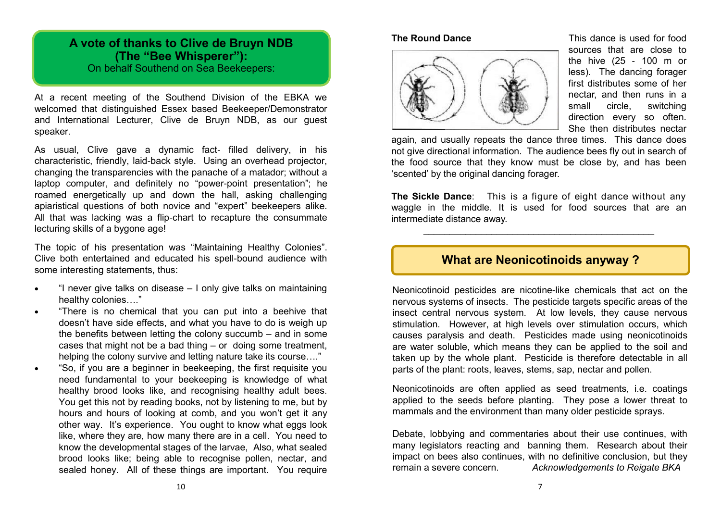# **A vote of thanks to Clive de Bruyn NDB (The "Bee Whisperer"):** On behalf Southend on Sea Beekeepers:

At a recent meeting of the Southend Division of the EBKA we welcomed that distinguished Essex based Beekeeper/Demonstrator and International Lecturer, Clive de Bruyn NDB, as our guest speaker.

As usual, Clive gave a dynamic fact- filled delivery, in his characteristic, friendly, laid-back style. Using an overhead projector, changing the transparencies with the panache of a matador; without a laptop computer, and definitely no "power-point presentation"; he roamed energetically up and down the hall, asking challenging apiaristical questions of both novice and "expert" beekeepers alike. All that was lacking was a flip-chart to recapture the consummate lecturing skills of a bygone age!

The topic of his presentation was "Maintaining Healthy Colonies". Clive both entertained and educated his spell-bound audience with some interesting statements, thus:

- "I never give talks on disease I only give talks on maintaining healthy colonies…."
- "There is no chemical that you can put into a beehive that doesn't have side effects, and what you have to do is weigh up the benefits between letting the colony succumb – and in some cases that might not be a bad thing – or doing some treatment, helping the colony survive and letting nature take its course…."
- "So, if you are a beginner in beekeeping, the first requisite you need fundamental to your beekeeping is knowledge of what healthy brood looks like, and recognising healthy adult bees. You get this not by reading books, not by listening to me, but by hours and hours of looking at comb, and you won't get it any other way. It's experience. You ought to know what eggs look like, where they are, how many there are in a cell. You need to know the developmental stages of the larvae, Also, what sealed brood looks like; being able to recognise pollen, nectar, and sealed honey. All of these things are important. You require



**The Round Dance** This dance is used for food sources that are close to the hive (25 - 100 m or less). The dancing forager first distributes some of her nectar, and then runs in a small circle, switching direction every so often. She then distributes nectar

again, and usually repeats the dance three times. This dance does not give directional information. The audience bees fly out in search of the food source that they know must be close by, and has been 'scented' by the original dancing forager.

**The Sickle Dance**: This is a figure of eight dance without any waggle in the middle. It is used for food sources that are an intermediate distance away.

\_\_\_\_\_\_\_\_\_\_\_\_\_\_\_\_\_\_\_\_\_\_\_\_\_\_\_\_\_\_\_\_\_\_\_\_\_\_\_\_\_\_\_\_

# **What are Neonicotinoids anyway ?**

Neonicotinoid pesticides are nicotine-like chemicals that act on the nervous systems of insects. The pesticide targets specific areas of the insect central nervous system. At low levels, they cause nervous stimulation. However, at high levels over stimulation occurs, which causes paralysis and death. Pesticides made using neonicotinoids are water soluble, which means they can be applied to the soil and taken up by the whole plant. Pesticide is therefore detectable in all parts of the plant: roots, leaves, stems, sap, nectar and pollen.

Neonicotinoids are often applied as seed treatments, i.e. coatings applied to the seeds before planting. They pose a lower threat to mammals and the environment than many older pesticide sprays.

Debate, lobbying and commentaries about their use continues, with many legislators reacting and banning them. Research about their impact on bees also continues, with no definitive conclusion, but they remain a severe concern. *Acknowledgements to Reigate BKA*